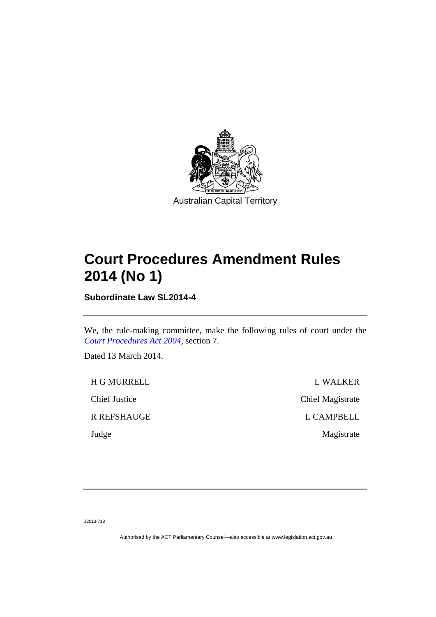

## **Court Procedures Amendment Rules 2014 (No 1)**

**Subordinate Law SL2014-4** 

We, the rule-making committee, make the following rules of court under the *[Court Procedures Act 2004](http://www.legislation.act.gov.au/a/2004-59)*, section 7.

Dated 13 March 2014.

H G MURRELL L WALKER Chief Justice Chief Magistrate R REFSHAUGE L CAMPBELL Judge Magistrate

J2013-713

Authorised by the ACT Parliamentary Counsel—also accessible at www.legislation.act.gov.au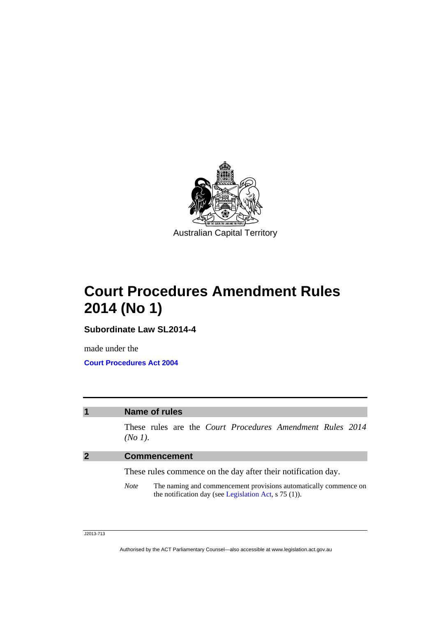

**Court Procedures Amendment Rules 2014 (No 1)** 

**Subordinate Law SL2014-4** 

made under the **Court Procedures Act 2004**

## **1 Name of rules**

These rules are the *Court Procedures Amendment Rules 2014 (No 1)*.

## **2 Commencement**

These rules commence on the day after their notification day.

*Note* The naming and commencement provisions automatically commence on the notification day (see [Legislation Act,](http://www.legislation.act.gov.au/a/2001-14) s 75 (1)).

J2013-713

Authorised by the ACT Parliamentary Counsel—also accessible at www.legislation.act.gov.au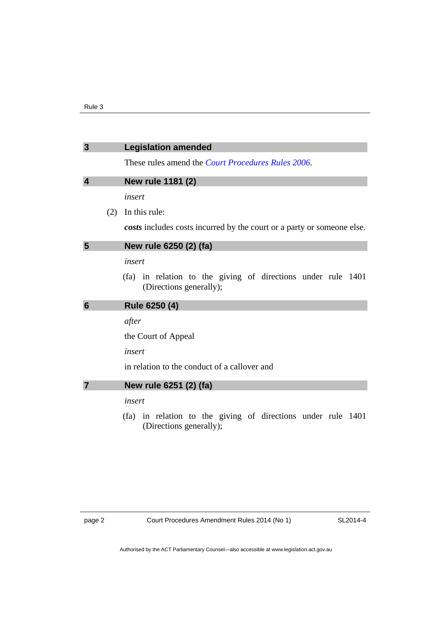| $\overline{3}$          |     | <b>Legislation amended</b>                                                              |
|-------------------------|-----|-----------------------------------------------------------------------------------------|
|                         |     | These rules amend the <i>Court Procedures Rules</i> 2006.                               |
| $\overline{\mathbf{4}}$ |     | New rule 1181 (2)                                                                       |
|                         |     | insert                                                                                  |
|                         | (2) | In this rule:                                                                           |
|                         |     | costs includes costs incurred by the court or a party or someone else.                  |
| $5\phantom{1}$          |     | New rule 6250 (2) (fa)                                                                  |
|                         |     | insert                                                                                  |
|                         |     | (fa) in relation to the giving of directions under rule 1401<br>(Directions generally); |
| 6                       |     | Rule 6250 (4)                                                                           |
|                         |     | after                                                                                   |
|                         |     | the Court of Appeal                                                                     |
|                         |     | insert                                                                                  |
|                         |     | in relation to the conduct of a callover and                                            |
|                         |     | New rule 6251 (2) (fa)                                                                  |
|                         |     | insert                                                                                  |
|                         |     | (fa) in relation to the giving of directions under rule 1401<br>(Directions generally); |
|                         |     |                                                                                         |
|                         |     |                                                                                         |
|                         |     |                                                                                         |